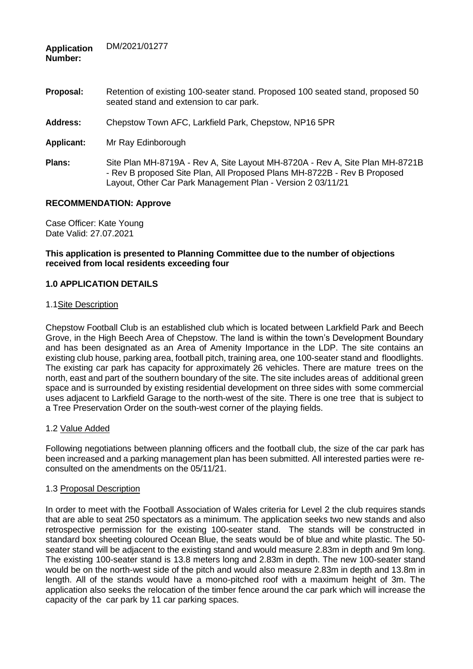**Application** DM/2021/01277

- **Proposal:** Retention of existing 100-seater stand. Proposed 100 seated stand, proposed 50 seated stand and extension to car park.
- **Address:** Chepstow Town AFC, Larkfield Park, Chepstow, NP16 5PR
- **Applicant:** Mr Ray Edinborough
- **Plans:** Site Plan MH-8719A Rev A, Site Layout MH-8720A Rev A, Site Plan MH-8721B - Rev B proposed Site Plan, All Proposed Plans MH-8722B - Rev B Proposed Layout, Other Car Park Management Plan - Version 2 03/11/21

### **RECOMMENDATION: Approve**

Case Officer: Kate Young Date Valid: 27.07.2021

### **This application is presented to Planning Committee due to the number of objections received from local residents exceeding four**

### **1.0 APPLICATION DETAILS**

### 1.1Site Description

Chepstow Football Club is an established club which is located between Larkfield Park and Beech Grove, in the High Beech Area of Chepstow. The land is within the town's Development Boundary and has been designated as an Area of Amenity Importance in the LDP. The site contains an existing club house, parking area, football pitch, training area, one 100-seater stand and floodlights. The existing car park has capacity for approximately 26 vehicles. There are mature trees on the north, east and part of the southern boundary of the site. The site includes areas of additional green space and is surrounded by existing residential development on three sides with some commercial uses adjacent to Larkfield Garage to the north-west of the site. There is one tree that is subject to a Tree Preservation Order on the south-west corner of the playing fields.

### 1.2 Value Added

Following negotiations between planning officers and the football club, the size of the car park has been increased and a parking management plan has been submitted. All interested parties were reconsulted on the amendments on the 05/11/21.

### 1.3 Proposal Description

In order to meet with the Football Association of Wales criteria for Level 2 the club requires stands that are able to seat 250 spectators as a minimum. The application seeks two new stands and also retrospective permission for the existing 100-seater stand. The stands will be constructed in standard box sheeting coloured Ocean Blue, the seats would be of blue and white plastic. The 50 seater stand will be adjacent to the existing stand and would measure 2.83m in depth and 9m long. The existing 100-seater stand is 13.8 meters long and 2.83m in depth. The new 100-seater stand would be on the north-west side of the pitch and would also measure 2.83m in depth and 13.8m in length. All of the stands would have a mono-pitched roof with a maximum height of 3m. The application also seeks the relocation of the timber fence around the car park which will increase the capacity of the car park by 11 car parking spaces.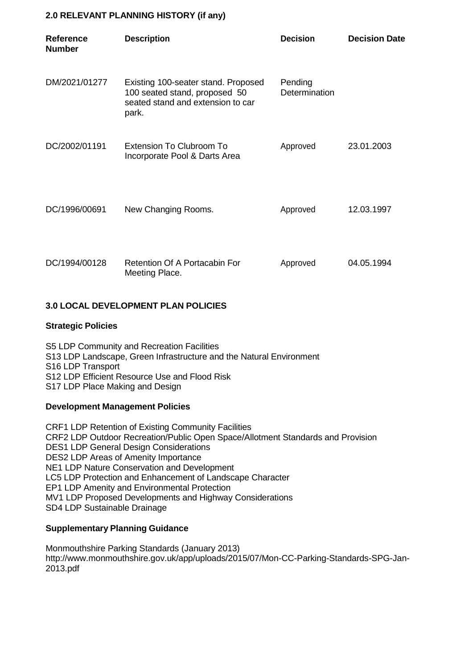### **2.0 RELEVANT PLANNING HISTORY (if any)**

| <b>Reference</b><br><b>Number</b> | <b>Description</b>                                                                                                 | <b>Decision</b>          | <b>Decision Date</b> |
|-----------------------------------|--------------------------------------------------------------------------------------------------------------------|--------------------------|----------------------|
| DM/2021/01277                     | Existing 100-seater stand. Proposed<br>100 seated stand, proposed 50<br>seated stand and extension to car<br>park. | Pending<br>Determination |                      |
| DC/2002/01191                     | Extension To Clubroom To<br>Incorporate Pool & Darts Area                                                          | Approved                 | 23.01.2003           |
| DC/1996/00691                     | New Changing Rooms.                                                                                                | Approved                 | 12.03.1997           |
| DC/1994/00128                     | Retention Of A Portacabin For<br>Meeting Place.                                                                    | Approved                 | 04.05.1994           |

# **3.0 LOCAL DEVELOPMENT PLAN POLICIES**

## **Strategic Policies**

S5 LDP Community and Recreation Facilities S13 LDP Landscape, Green Infrastructure and the Natural Environment S16 LDP Transport S12 LDP Efficient Resource Use and Flood Risk S17 LDP Place Making and Design

# **Development Management Policies**

CRF1 LDP Retention of Existing Community Facilities CRF2 LDP Outdoor Recreation/Public Open Space/Allotment Standards and Provision DES1 LDP General Design Considerations DES2 LDP Areas of Amenity Importance NE1 LDP Nature Conservation and Development LC5 LDP Protection and Enhancement of Landscape Character EP1 LDP Amenity and Environmental Protection MV1 LDP Proposed Developments and Highway Considerations SD4 LDP Sustainable Drainage

### **Supplementary Planning Guidance**

Monmouthshire Parking Standards (January 2013) <http://www.monmouthshire.gov.uk/app/uploads/2015/07/Mon-CC-Parking-Standards-SPG-Jan->2013.pdf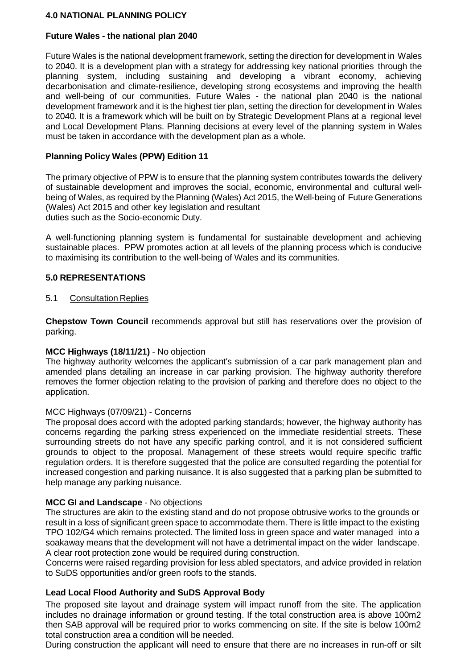### **4.0 NATIONAL PLANNING POLICY**

### **Future Wales - the national plan 2040**

Future Wales is the national development framework, setting the direction for development in Wales to 2040. It is a development plan with a strategy for addressing key national priorities through the planning system, including sustaining and developing a vibrant economy, achieving decarbonisation and climate-resilience, developing strong ecosystems and improving the health and well-being of our communities. Future Wales - the national plan 2040 is the national development framework and it is the highest tier plan, setting the direction for development in Wales to 2040. It is a framework which will be built on by Strategic Development Plans at a regional level and Local Development Plans. Planning decisions at every level of the planning system in Wales must be taken in accordance with the development plan as a whole.

### **Planning Policy Wales (PPW) Edition 11**

The primary objective of PPW is to ensure that the planning system contributes towards the delivery of sustainable development and improves the social, economic, environmental and cultural wellbeing of Wales, as required by the Planning (Wales) Act 2015, the Well-being of Future Generations (Wales) Act 2015 and other key legislation and resultant duties such as the Socio-economic Duty.

A well-functioning planning system is fundamental for sustainable development and achieving sustainable places. PPW promotes action at all levels of the planning process which is conducive to maximising its contribution to the well-being of Wales and its communities.

#### **5.0 REPRESENTATIONS**

#### 5.1 Consultation Replies

**Chepstow Town Council** recommends approval but still has reservations over the provision of parking.

### **MCC Highways (18/11/21)** - No objection

The highway authority welcomes the applicant's submission of a car park management plan and amended plans detailing an increase in car parking provision. The highway authority therefore removes the former objection relating to the provision of parking and therefore does no object to the application.

#### MCC Highways (07/09/21) - Concerns

The proposal does accord with the adopted parking standards; however, the highway authority has concerns regarding the parking stress experienced on the immediate residential streets. These surrounding streets do not have any specific parking control, and it is not considered sufficient grounds to object to the proposal. Management of these streets would require specific traffic regulation orders. It is therefore suggested that the police are consulted regarding the potential for increased congestion and parking nuisance. It is also suggested that a parking plan be submitted to help manage any parking nuisance.

### **MCC GI and Landscape** - No objections

The structures are akin to the existing stand and do not propose obtrusive works to the grounds or result in a loss of significant green space to accommodate them. There is little impact to the existing TPO 102/G4 which remains protected. The limited loss in green space and water managed into a soakaway means that the development will not have a detrimental impact on the wider landscape. A clear root protection zone would be required during construction.

Concerns were raised regarding provision for less abled spectators, and advice provided in relation to SuDS opportunities and/or green roofs to the stands.

### **Lead Local Flood Authority and SuDS Approval Body**

The proposed site layout and drainage system will impact runoff from the site. The application includes no drainage information or ground testing. If the total construction area is above 100m2 then SAB approval will be required prior to works commencing on site. If the site is below 100m2 total construction area a condition will be needed.

During construction the applicant will need to ensure that there are no increases in run-off or silt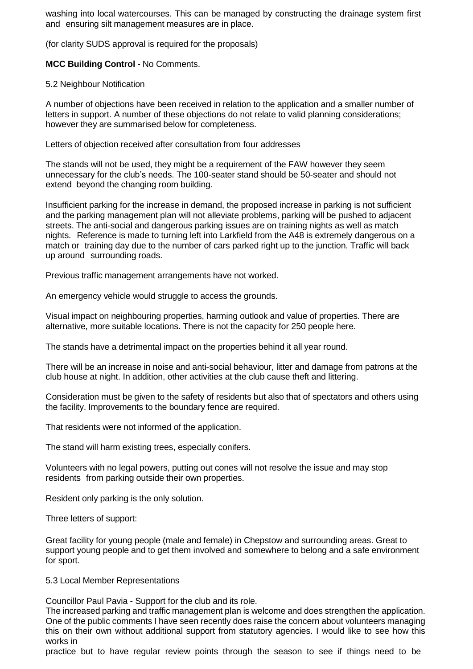washing into local watercourses. This can be managed by constructing the drainage system first and ensuring silt management measures are in place.

(for clarity SUDS approval is required for the proposals)

**MCC Building Control** - No Comments.

#### 5.2 Neighbour Notification

A number of objections have been received in relation to the application and a smaller number of letters in support. A number of these objections do not relate to valid planning considerations; however they are summarised below for completeness.

Letters of objection received after consultation from four addresses

The stands will not be used, they might be a requirement of the FAW however they seem unnecessary for the club's needs. The 100-seater stand should be 50-seater and should not extend beyond the changing room building.

Insufficient parking for the increase in demand, the proposed increase in parking is not sufficient and the parking management plan will not alleviate problems, parking will be pushed to adjacent streets. The anti-social and dangerous parking issues are on training nights as well as match nights. Reference is made to turning left into Larkfield from the A48 is extremely dangerous on a match or training day due to the number of cars parked right up to the junction. Traffic will back up around surrounding roads.

Previous traffic management arrangements have not worked.

An emergency vehicle would struggle to access the grounds.

Visual impact on neighbouring properties, harming outlook and value of properties. There are alternative, more suitable locations. There is not the capacity for 250 people here.

The stands have a detrimental impact on the properties behind it all year round.

There will be an increase in noise and anti-social behaviour, litter and damage from patrons at the club house at night. In addition, other activities at the club cause theft and littering.

Consideration must be given to the safety of residents but also that of spectators and others using the facility. Improvements to the boundary fence are required.

That residents were not informed of the application.

The stand will harm existing trees, especially conifers.

Volunteers with no legal powers, putting out cones will not resolve the issue and may stop residents from parking outside their own properties.

Resident only parking is the only solution.

Three letters of support:

Great facility for young people (male and female) in Chepstow and surrounding areas. Great to support young people and to get them involved and somewhere to belong and a safe environment for sport.

#### 5.3 Local Member Representations

Councillor Paul Pavia - Support for the club and its role.

The increased parking and traffic management plan is welcome and does strengthen the application. One of the public comments I have seen recently does raise the concern about volunteers managing this on their own without additional support from statutory agencies. I would like to see how this works in

practice but to have regular review points through the season to see if things need to be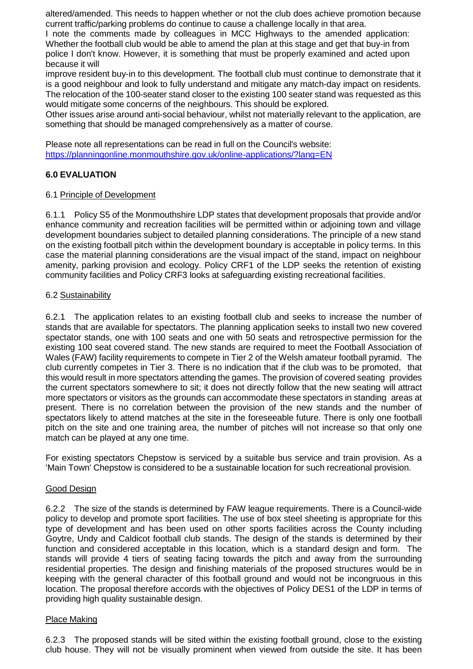altered/amended. This needs to happen whether or not the club does achieve promotion because current traffic/parking problems do continue to cause a challenge locally in that area.

I note the comments made by colleagues in MCC Highways to the amended application: Whether the football club would be able to amend the plan at this stage and get that buy-in from police I don't know. However, it is something that must be properly examined and acted upon because it will

improve resident buy-in to this development. The football club must continue to demonstrate that it is a good neighbour and look to fully understand and mitigate any match-day impact on residents. The relocation of the 100-seater stand closer to the existing 100 seater stand was requested as this would mitigate some concerns of the neighbours. This should be explored.

Other issues arise around anti-social behaviour, whilst not materially relevant to the application, are something that should be managed comprehensively as a matter of course.

Please note all representations can be read in full on the Council's website: <https://planningonline.monmouthshire.gov.uk/online-applications/?lang=EN>

# **6.0 EVALUATION**

#### 6.1 Principle of Development

6.1.1 Policy S5 of the Monmouthshire LDP states that development proposals that provide and/or enhance community and recreation facilities will be permitted within or adjoining town and village development boundaries subject to detailed planning considerations. The principle of a new stand on the existing football pitch within the development boundary is acceptable in policy terms. In this case the material planning considerations are the visual impact of the stand, impact on neighbour amenity, parking provision and ecology. Policy CRF1 of the LDP seeks the retention of existing community facilities and Policy CRF3 looks at safeguarding existing recreational facilities.

### 6.2 Sustainability

6.2.1 The application relates to an existing football club and seeks to increase the number of stands that are available for spectators. The planning application seeks to install two new covered spectator stands, one with 100 seats and one with 50 seats and retrospective permission for the existing 100 seat covered stand. The new stands are required to meet the Football Association of Wales (FAW) facility requirements to compete in Tier 2 of the Welsh amateur football pyramid. The club currently competes in Tier 3. There is no indication that if the club was to be promoted, that this would result in more spectators attending the games. The provision of covered seating provides the current spectators somewhere to sit; it does not directly follow that the new seating will attract more spectators or visitors as the grounds can accommodate these spectators in standing areas at present. There is no correlation between the provision of the new stands and the number of spectators likely to attend matches at the site in the foreseeable future. There is only one football pitch on the site and one training area, the number of pitches will not increase so that only one match can be played at any one time.

For existing spectators Chepstow is serviced by a suitable bus service and train provision. As a 'Main Town' Chepstow is considered to be a sustainable location for such recreational provision.

#### Good Design

6.2.2 The size of the stands is determined by FAW league requirements. There is a Council-wide policy to develop and promote sport facilities. The use of box steel sheeting is appropriate for this type of development and has been used on other sports facilities across the County including Goytre, Undy and Caldicot football club stands. The design of the stands is determined by their function and considered acceptable in this location, which is a standard design and form. The stands will provide 4 tiers of seating facing towards the pitch and away from the surrounding residential properties. The design and finishing materials of the proposed structures would be in keeping with the general character of this football ground and would not be incongruous in this location. The proposal therefore accords with the objectives of Policy DES1 of the LDP in terms of providing high quality sustainable design.

### Place Making

6.2.3 The proposed stands will be sited within the existing football ground, close to the existing club house. They will not be visually prominent when viewed from outside the site. It has been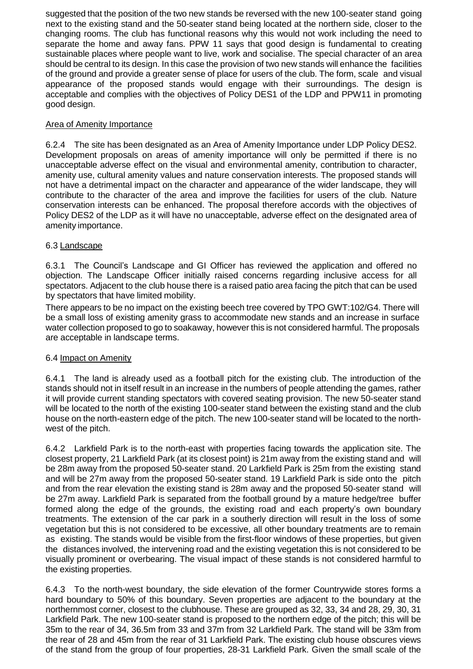suggested that the position of the two new stands be reversed with the new 100-seater stand going next to the existing stand and the 50-seater stand being located at the northern side, closer to the changing rooms. The club has functional reasons why this would not work including the need to separate the home and away fans. PPW 11 says that good design is fundamental to creating sustainable places where people want to live, work and socialise. The special character of an area should be central to its design. In this case the provision of two new stands will enhance the facilities of the ground and provide a greater sense of place for users of the club. The form, scale and visual appearance of the proposed stands would engage with their surroundings. The design is acceptable and complies with the objectives of Policy DES1 of the LDP and PPW11 in promoting good design.

## Area of Amenity Importance

6.2.4 The site has been designated as an Area of Amenity Importance under LDP Policy DES2. Development proposals on areas of amenity importance will only be permitted if there is no unacceptable adverse effect on the visual and environmental amenity, contribution to character, amenity use, cultural amenity values and nature conservation interests. The proposed stands will not have a detrimental impact on the character and appearance of the wider landscape, they will contribute to the character of the area and improve the facilities for users of the club. Nature conservation interests can be enhanced. The proposal therefore accords with the objectives of Policy DES2 of the LDP as it will have no unacceptable, adverse effect on the designated area of amenity importance.

## 6.3 Landscape

6.3.1 The Council's Landscape and GI Officer has reviewed the application and offered no objection. The Landscape Officer initially raised concerns regarding inclusive access for all spectators. Adjacent to the club house there is a raised patio area facing the pitch that can be used by spectators that have limited mobility.

There appears to be no impact on the existing beech tree covered by TPO GWT:102/G4. There will be a small loss of existing amenity grass to accommodate new stands and an increase in surface water collection proposed to go to soakaway, however this is not considered harmful. The proposals are acceptable in landscape terms.

### 6.4 Impact on Amenity

6.4.1 The land is already used as a football pitch for the existing club. The introduction of the stands should not in itself result in an increase in the numbers of people attending the games, rather it will provide current standing spectators with covered seating provision. The new 50-seater stand will be located to the north of the existing 100-seater stand between the existing stand and the club house on the north-eastern edge of the pitch. The new 100-seater stand will be located to the northwest of the pitch.

6.4.2 Larkfield Park is to the north-east with properties facing towards the application site. The closest property, 21 Larkfield Park (at its closest point) is 21m away from the existing stand and will be 28m away from the proposed 50-seater stand. 20 Larkfield Park is 25m from the existing stand and will be 27m away from the proposed 50-seater stand. 19 Larkfield Park is side onto the pitch and from the rear elevation the existing stand is 28m away and the proposed 50-seater stand will be 27m away. Larkfield Park is separated from the football ground by a mature hedge/tree buffer formed along the edge of the grounds, the existing road and each property's own boundary treatments. The extension of the car park in a southerly direction will result in the loss of some vegetation but this is not considered to be excessive, all other boundary treatments are to remain as existing. The stands would be visible from the first-floor windows of these properties, but given the distances involved, the intervening road and the existing vegetation this is not considered to be visually prominent or overbearing. The visual impact of these stands is not considered harmful to the existing properties.

6.4.3 To the north-west boundary, the side elevation of the former Countrywide stores forms a hard boundary to 50% of this boundary. Seven properties are adjacent to the boundary at the northernmost corner, closest to the clubhouse. These are grouped as 32, 33, 34 and 28, 29, 30, 31 Larkfield Park. The new 100-seater stand is proposed to the northern edge of the pitch; this will be 35m to the rear of 34, 36.5m from 33 and 37m from 32 Larkfield Park. The stand will be 33m from the rear of 28 and 45m from the rear of 31 Larkfield Park. The existing club house obscures views of the stand from the group of four properties, 28-31 Larkfield Park. Given the small scale of the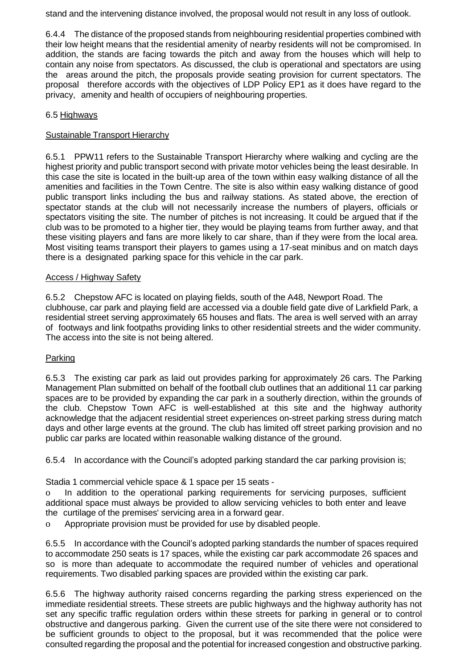stand and the intervening distance involved, the proposal would not result in any loss of outlook.

6.4.4 The distance of the proposed stands from neighbouring residential properties combined with their low height means that the residential amenity of nearby residents will not be compromised. In addition, the stands are facing towards the pitch and away from the houses which will help to contain any noise from spectators. As discussed, the club is operational and spectators are using the areas around the pitch, the proposals provide seating provision for current spectators. The proposal therefore accords with the objectives of LDP Policy EP1 as it does have regard to the privacy, amenity and health of occupiers of neighbouring properties.

## 6.5 Highways

# Sustainable Transport Hierarchy

6.5.1 PPW11 refers to the Sustainable Transport Hierarchy where walking and cycling are the highest priority and public transport second with private motor vehicles being the least desirable. In this case the site is located in the built-up area of the town within easy walking distance of all the amenities and facilities in the Town Centre. The site is also within easy walking distance of good public transport links including the bus and railway stations. As stated above, the erection of spectator stands at the club will not necessarily increase the numbers of players, officials or spectators visiting the site. The number of pitches is not increasing. It could be argued that if the club was to be promoted to a higher tier, they would be playing teams from further away, and that these visiting players and fans are more likely to car share, than if they were from the local area. Most visiting teams transport their players to games using a 17-seat minibus and on match days there is a designated parking space for this vehicle in the car park.

### Access / Highway Safety

6.5.2 Chepstow AFC is located on playing fields, south of the A48, Newport Road. The clubhouse, car park and playing field are accessed via a double field gate dive of Larkfield Park, a residential street serving approximately 65 houses and flats. The area is well served with an array of footways and link footpaths providing links to other residential streets and the wider community. The access into the site is not being altered.

### **Parking**

6.5.3 The existing car park as laid out provides parking for approximately 26 cars. The Parking Management Plan submitted on behalf of the football club outlines that an additional 11 car parking spaces are to be provided by expanding the car park in a southerly direction, within the grounds of the club. Chepstow Town AFC is well-established at this site and the highway authority acknowledge that the adjacent residential street experiences on-street parking stress during match days and other large events at the ground. The club has limited off street parking provision and no public car parks are located within reasonable walking distance of the ground.

6.5.4 In accordance with the Council's adopted parking standard the car parking provision is;

Stadia 1 commercial vehicle space & 1 space per 15 seats -

o In addition to the operational parking requirements for servicing purposes, sufficient additional space must always be provided to allow servicing vehicles to both enter and leave the curtilage of the premises' servicing area in a forward gear.

o Appropriate provision must be provided for use by disabled people.

6.5.5 In accordance with the Council's adopted parking standards the number of spaces required to accommodate 250 seats is 17 spaces, while the existing car park accommodate 26 spaces and so is more than adequate to accommodate the required number of vehicles and operational requirements. Two disabled parking spaces are provided within the existing car park.

6.5.6 The highway authority raised concerns regarding the parking stress experienced on the immediate residential streets. These streets are public highways and the highway authority has not set any specific traffic regulation orders within these streets for parking in general or to control obstructive and dangerous parking. Given the current use of the site there were not considered to be sufficient grounds to object to the proposal, but it was recommended that the police were consulted regarding the proposal and the potential for increased congestion and obstructive parking.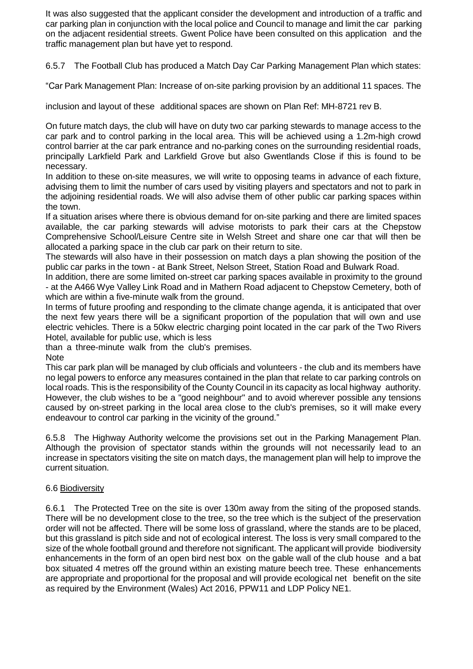It was also suggested that the applicant consider the development and introduction of a traffic and car parking plan in conjunction with the local police and Council to manage and limit the car parking on the adjacent residential streets. Gwent Police have been consulted on this application and the traffic management plan but have yet to respond.

6.5.7 The Football Club has produced a Match Day Car Parking Management Plan which states:

"Car Park Management Plan: Increase of on-site parking provision by an additional 11 spaces. The

inclusion and layout of these additional spaces are shown on Plan Ref: MH-8721 rev B.

On future match days, the club will have on duty two car parking stewards to manage access to the car park and to control parking in the local area. This will be achieved using a 1.2m-high crowd control barrier at the car park entrance and no-parking cones on the surrounding residential roads, principally Larkfield Park and Larkfield Grove but also Gwentlands Close if this is found to be necessary.

In addition to these on-site measures, we will write to opposing teams in advance of each fixture, advising them to limit the number of cars used by visiting players and spectators and not to park in the adjoining residential roads. We will also advise them of other public car parking spaces within the town.

If a situation arises where there is obvious demand for on-site parking and there are limited spaces available, the car parking stewards will advise motorists to park their cars at the Chepstow Comprehensive School/Leisure Centre site in Welsh Street and share one car that will then be allocated a parking space in the club car park on their return to site.

The stewards will also have in their possession on match days a plan showing the position of the public car parks in the town - at Bank Street, Nelson Street, Station Road and Bulwark Road.

In addition, there are some limited on-street car parking spaces available in proximity to the ground - at the A466 Wye Valley Link Road and in Mathern Road adjacent to Chepstow Cemetery, both of which are within a five-minute walk from the ground.

In terms of future proofing and responding to the climate change agenda, it is anticipated that over the next few years there will be a significant proportion of the population that will own and use electric vehicles. There is a 50kw electric charging point located in the car park of the Two Rivers Hotel, available for public use, which is less

than a three-minute walk from the club's premises. **Note** 

This car park plan will be managed by club officials and volunteers - the club and its members have no legal powers to enforce any measures contained in the plan that relate to car parking controls on local roads. This is the responsibility of the County Council in its capacity as local highway authority. However, the club wishes to be a "good neighbour" and to avoid wherever possible any tensions caused by on-street parking in the local area close to the club's premises, so it will make every endeavour to control car parking in the vicinity of the ground."

6.5.8 The Highway Authority welcome the provisions set out in the Parking Management Plan. Although the provision of spectator stands within the grounds will not necessarily lead to an increase in spectators visiting the site on match days, the management plan will help to improve the current situation.

### 6.6 Biodiversity

6.6.1 The Protected Tree on the site is over 130m away from the siting of the proposed stands. There will be no development close to the tree, so the tree which is the subject of the preservation order will not be affected. There will be some loss of grassland, where the stands are to be placed, but this grassland is pitch side and not of ecological interest. The loss is very small compared to the size of the whole football ground and therefore not significant. The applicant will provide biodiversity enhancements in the form of an open bird nest box on the gable wall of the club house and a bat box situated 4 metres off the ground within an existing mature beech tree. These enhancements are appropriate and proportional for the proposal and will provide ecological net benefit on the site as required by the Environment (Wales) Act 2016, PPW11 and LDP Policy NE1.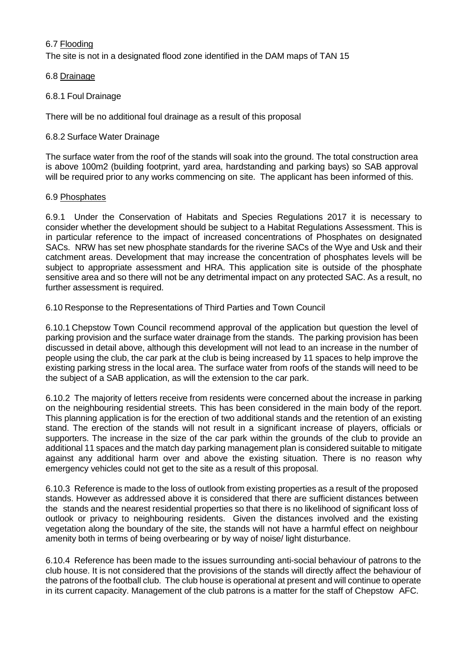# 6.7 Flooding The site is not in a designated flood zone identified in the DAM maps of TAN 15

6.8 Drainage

6.8.1 Foul Drainage

There will be no additional foul drainage as a result of this proposal

### 6.8.2 Surface Water Drainage

The surface water from the roof of the stands will soak into the ground. The total construction area is above 100m2 (building footprint, yard area, hardstanding and parking bays) so SAB approval will be required prior to any works commencing on site. The applicant has been informed of this.

#### 6.9 Phosphates

6.9.1 Under the Conservation of Habitats and Species Regulations 2017 it is necessary to consider whether the development should be subject to a Habitat Regulations Assessment. This is in particular reference to the impact of increased concentrations of Phosphates on designated SACs. NRW has set new phosphate standards for the riverine SACs of the Wye and Usk and their catchment areas. Development that may increase the concentration of phosphates levels will be subject to appropriate assessment and HRA. This application site is outside of the phosphate sensitive area and so there will not be any detrimental impact on any protected SAC. As a result, no further assessment is required.

6.10 Response to the Representations of Third Parties and Town Council

6.10.1 Chepstow Town Council recommend approval of the application but question the level of parking provision and the surface water drainage from the stands. The parking provision has been discussed in detail above, although this development will not lead to an increase in the number of people using the club, the car park at the club is being increased by 11 spaces to help improve the existing parking stress in the local area. The surface water from roofs of the stands will need to be the subject of a SAB application, as will the extension to the car park.

6.10.2 The majority of letters receive from residents were concerned about the increase in parking on the neighbouring residential streets. This has been considered in the main body of the report. This planning application is for the erection of two additional stands and the retention of an existing stand. The erection of the stands will not result in a significant increase of players, officials or supporters. The increase in the size of the car park within the grounds of the club to provide an additional 11 spaces and the match day parking management plan is considered suitable to mitigate against any additional harm over and above the existing situation. There is no reason why emergency vehicles could not get to the site as a result of this proposal.

6.10.3 Reference is made to the loss of outlook from existing properties as a result of the proposed stands. However as addressed above it is considered that there are sufficient distances between the stands and the nearest residential properties so that there is no likelihood of significant loss of outlook or privacy to neighbouring residents. Given the distances involved and the existing vegetation along the boundary of the site, the stands will not have a harmful effect on neighbour amenity both in terms of being overbearing or by way of noise/ light disturbance.

6.10.4 Reference has been made to the issues surrounding anti-social behaviour of patrons to the club house. It is not considered that the provisions of the stands will directly affect the behaviour of the patrons of the football club. The club house is operational at present and will continue to operate in its current capacity. Management of the club patrons is a matter for the staff of Chepstow AFC.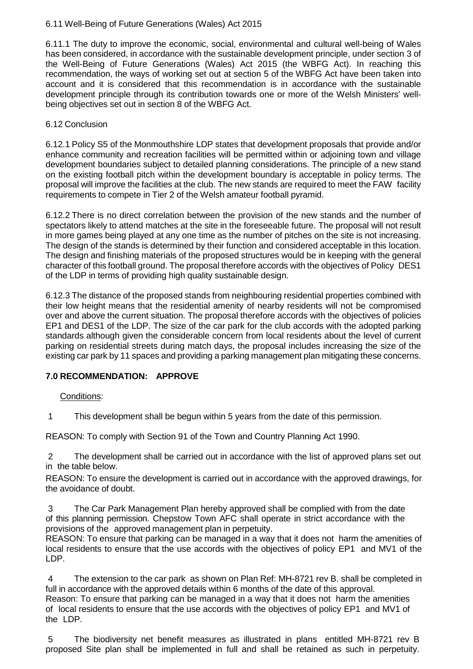## 6.11 Well-Being of Future Generations (Wales) Act 2015

6.11.1 The duty to improve the economic, social, environmental and cultural well-being of Wales has been considered, in accordance with the sustainable development principle, under section 3 of the Well-Being of Future Generations (Wales) Act 2015 (the WBFG Act). In reaching this recommendation, the ways of working set out at section 5 of the WBFG Act have been taken into account and it is considered that this recommendation is in accordance with the sustainable development principle through its contribution towards one or more of the Welsh Ministers' wellbeing objectives set out in section 8 of the WBFG Act.

### 6.12 Conclusion

6.12.1 Policy S5 of the Monmouthshire LDP states that development proposals that provide and/or enhance community and recreation facilities will be permitted within or adjoining town and village development boundaries subject to detailed planning considerations. The principle of a new stand on the existing football pitch within the development boundary is acceptable in policy terms. The proposal will improve the facilities at the club. The new stands are required to meet the FAW facility requirements to compete in Tier 2 of the Welsh amateur football pyramid.

6.12.2 There is no direct correlation between the provision of the new stands and the number of spectators likely to attend matches at the site in the foreseeable future. The proposal will not result in more games being played at any one time as the number of pitches on the site is not increasing. The design of the stands is determined by their function and considered acceptable in this location. The design and finishing materials of the proposed structures would be in keeping with the general character of this football ground. The proposal therefore accords with the objectives of Policy DES1 of the LDP in terms of providing high quality sustainable design.

6.12.3 The distance of the proposed stands from neighbouring residential properties combined with their low height means that the residential amenity of nearby residents will not be compromised over and above the current situation. The proposal therefore accords with the objectives of policies EP1 and DES1 of the LDP. The size of the car park for the club accords with the adopted parking standards although given the considerable concern from local residents about the level of current parking on residential streets during match days, the proposal includes increasing the size of the existing car park by 11 spaces and providing a parking management plan mitigating these concerns.

# **7.0 RECOMMENDATION: APPROVE**

# Conditions:

1 This development shall be begun within 5 years from the date of this permission.

REASON: To comply with Section 91 of the Town and Country Planning Act 1990.

2 The development shall be carried out in accordance with the list of approved plans set out in the table below.

REASON: To ensure the development is carried out in accordance with the approved drawings, for the avoidance of doubt.

3 The Car Park Management Plan hereby approved shall be complied with from the date of this planning permission. Chepstow Town AFC shall operate in strict accordance with the provisions of the approved management plan in perpetuity.

REASON: To ensure that parking can be managed in a way that it does not harm the amenities of local residents to ensure that the use accords with the objectives of policy EP1 and MV1 of the LDP.

4 The extension to the car park as shown on Plan Ref: MH-8721 rev B. shall be completed in full in accordance with the approved details within 6 months of the date of this approval. Reason: To ensure that parking can be managed in a way that it does not harm the amenities of local residents to ensure that the use accords with the objectives of policy EP1 and MV1 of the LDP.

5 The biodiversity net benefit measures as illustrated in plans entitled MH-8721 rev B proposed Site plan shall be implemented in full and shall be retained as such in perpetuity.